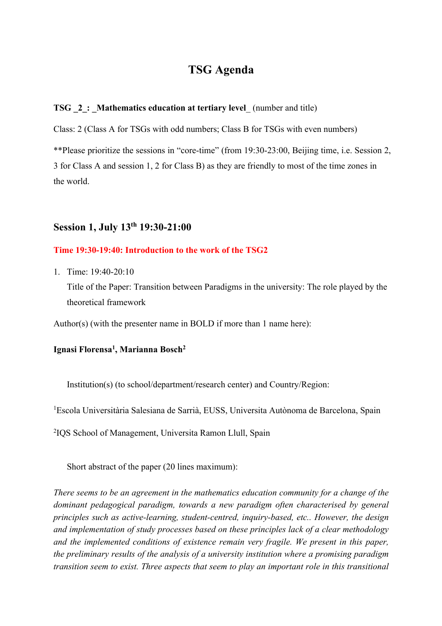# **TSG Agenda**

### **TSG** 2: Mathematics education at tertiary level (number and title)

Class: 2 (Class A for TSGs with odd numbers; Class B for TSGs with even numbers)

\*\*Please prioritize the sessions in "core-time" (from 19:30-23:00, Beijing time, i.e. Session 2, 3 for Class A and session 1, 2 for Class B) as they are friendly to most of the time zones in the world.

# **Session 1, July 13th 19:30-21:00**

## **Time 19:30-19:40: Introduction to the work of the TSG2**

1. Time: 19:40-20:10

Title of the Paper: Transition between Paradigms in the university: The role played by the theoretical framework

Author(s) (with the presenter name in BOLD if more than 1 name here):

#### **Ignasi Florensa1 , Marianna Bosch2**

Institution(s) (to school/department/research center) and Country/Region:

<sup>1</sup>Escola Universitària Salesiana de Sarrià, EUSS, Universita Autònoma de Barcelona, Spain

2 IQS School of Management, Universita Ramon Llull, Spain

Short abstract of the paper (20 lines maximum):

*There seems to be an agreement in the mathematics education community for a change of the dominant pedagogical paradigm, towards a new paradigm often characterised by general principles such as active-learning, student-centred, inquiry-based, etc.. However, the design and implementation of study processes based on these principles lack of a clear methodology and the implemented conditions of existence remain very fragile. We present in this paper, the preliminary results of the analysis of a university institution where a promising paradigm transition seem to exist. Three aspects that seem to play an important role in this transitional*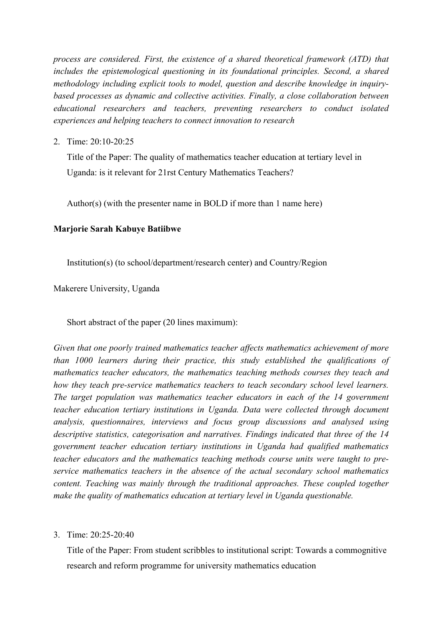*process are considered. First, the existence of a shared theoretical framework (ATD) that includes the epistemological questioning in its foundational principles. Second, a shared methodology including explicit tools to model, question and describe knowledge in inquirybased processes as dynamic and collective activities. Finally, a close collaboration between educational researchers and teachers, preventing researchers to conduct isolated experiences and helping teachers to connect innovation to research*

2. Time: 20:10-20:25

Title of the Paper: The quality of mathematics teacher education at tertiary level in Uganda: is it relevant for 21rst Century Mathematics Teachers?

Author(s) (with the presenter name in BOLD if more than 1 name here)

## **Marjorie Sarah Kabuye Batiibwe**

Institution(s) (to school/department/research center) and Country/Region

Makerere University, Uganda

Short abstract of the paper (20 lines maximum):

*Given that one poorly trained mathematics teacher affects mathematics achievement of more than 1000 learners during their practice, this study established the qualifications of mathematics teacher educators, the mathematics teaching methods courses they teach and how they teach pre-service mathematics teachers to teach secondary school level learners. The target population was mathematics teacher educators in each of the 14 government teacher education tertiary institutions in Uganda. Data were collected through document analysis, questionnaires, interviews and focus group discussions and analysed using descriptive statistics, categorisation and narratives. Findings indicated that three of the 14 government teacher education tertiary institutions in Uganda had qualified mathematics teacher educators and the mathematics teaching methods course units were taught to preservice mathematics teachers in the absence of the actual secondary school mathematics content. Teaching was mainly through the traditional approaches. These coupled together make the quality of mathematics education at tertiary level in Uganda questionable.* 

### 3. Time: 20:25-20:40

Title of the Paper: From student scribbles to institutional script: Towards a commognitive research and reform programme for university mathematics education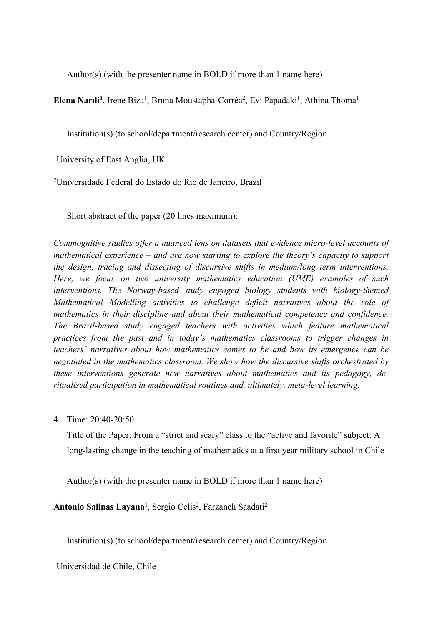Author(s) (with the presenter name in BOLD if more than 1 name here)

Elena Nardi<sup>1</sup>, Irene Biza<sup>1</sup>, Bruna Moustapha-Corrêa<sup>2</sup>, Evi Papadaki<sup>1</sup>, Athina Thoma<sup>1</sup>

Institution(s) (to school/department/research center) and Country/Region

<sup>1</sup>University of East Anglia, UK

2 Universidade Federal do Estado do Rio de Janeiro, Brazil

Short abstract of the paper (20 lines maximum):

*Commognitive studies offer a nuanced lens on datasets that evidence micro-level accounts of mathematical experience – and are now starting to explore the theory's capacity to support the design, tracing and dissecting of discursive shifts in medium/long term interventions. Here, we focus on two university mathematics education (UME) examples of such interventions. The Norway-based study engaged biology students with biology-themed Mathematical Modelling activities to challenge deficit narratives about the role of mathematics in their discipline and about their mathematical competence and confidence. The Brazil-based study engaged teachers with activities which feature mathematical practices from the past and in today's mathematics classrooms to trigger changes in teachers' narratives about how mathematics comes to be and how its emergence can be negotiated in the mathematics classroom. We show how the discursive shifts orchestrated by these interventions generate new narratives about mathematics and its pedagogy, deritualised participation in mathematical routines and, ultimately, meta-level learning.*

4. Time: 20:40-20:50

Title of the Paper: From a "strict and scary" class to the "active and favorite" subject: A long-lasting change in the teaching of mathematics at a first year military school in Chile

Author(s) (with the presenter name in BOLD if more than 1 name here)

Antonio Salinas Layana<sup>1</sup>, Sergio Celis<sup>2</sup>, Farzaneh Saadati<sup>2</sup>

Institution(s) (to school/department/research center) and Country/Region

1 Universidad de Chile, Chile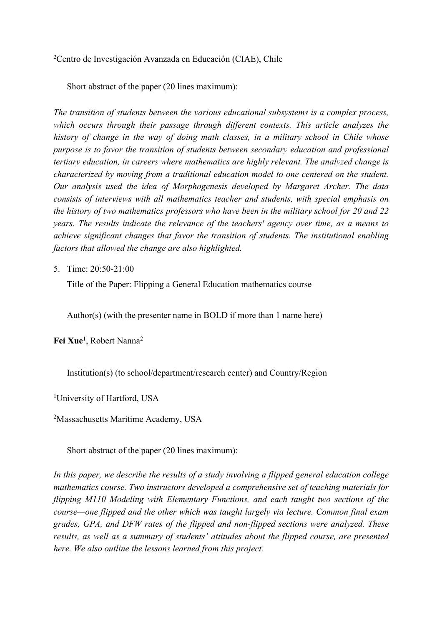<sup>2</sup>Centro de Investigación Avanzada en Educación (CIAE), Chile

Short abstract of the paper (20 lines maximum):

*The transition of students between the various educational subsystems is a complex process, which occurs through their passage through different contexts. This article analyzes the history of change in the way of doing math classes, in a military school in Chile whose purpose is to favor the transition of students between secondary education and professional tertiary education, in careers where mathematics are highly relevant. The analyzed change is characterized by moving from a traditional education model to one centered on the student. Our analysis used the idea of Morphogenesis developed by Margaret Archer. The data consists of interviews with all mathematics teacher and students, with special emphasis on the history of two mathematics professors who have been in the military school for 20 and 22 years. The results indicate the relevance of the teachers' agency over time, as a means to achieve significant changes that favor the transition of students. The institutional enabling factors that allowed the change are also highlighted.*

5. Time: 20:50-21:00

Title of the Paper: Flipping a General Education mathematics course

Author(s) (with the presenter name in BOLD if more than 1 name here)

**Fei Xue1** , Robert Nanna2

Institution(s) (to school/department/research center) and Country/Region

<sup>1</sup>University of Hartford, USA

<sup>2</sup>Massachusetts Maritime Academy, USA

Short abstract of the paper (20 lines maximum):

*In this paper, we describe the results of a study involving a flipped general education college mathematics course. Two instructors developed a comprehensive set of teaching materials for flipping M110 Modeling with Elementary Functions, and each taught two sections of the course—one flipped and the other which was taught largely via lecture. Common final exam grades, GPA, and DFW rates of the flipped and non-flipped sections were analyzed. These results, as well as a summary of students' attitudes about the flipped course, are presented here. We also outline the lessons learned from this project.*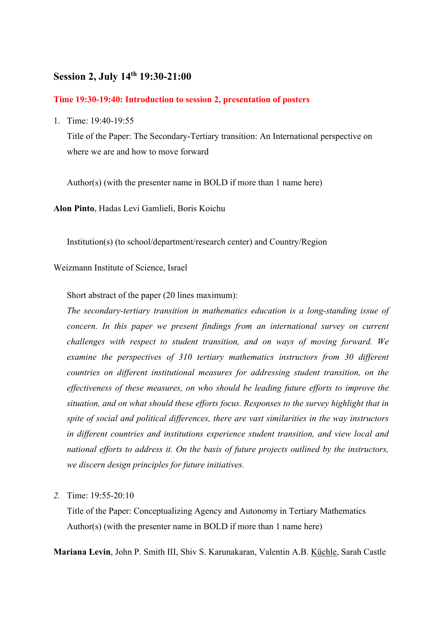## **Session 2, July 14th 19:30-21:00**

#### **Time 19:30-19:40: Introduction to session 2, presentation of posters**

1. Time: 19:40-19:55

Title of the Paper: The Secondary-Tertiary transition: An International perspective on where we are and how to move forward

Author(s) (with the presenter name in BOLD if more than 1 name here)

**Alon Pinto**, Hadas Levi Gamlieli, Boris Koichu

Institution(s) (to school/department/research center) and Country/Region

## Weizmann Institute of Science, Israel

Short abstract of the paper (20 lines maximum):

*The secondary-tertiary transition in mathematics education is a long-standing issue of concern. In this paper we present findings from an international survey on current challenges with respect to student transition, and on ways of moving forward. We examine the perspectives of 310 tertiary mathematics instructors from 30 different countries on different institutional measures for addressing student transition, on the effectiveness of these measures, on who should be leading future efforts to improve the situation, and on what should these efforts focus. Responses to the survey highlight that in spite of social and political differences, there are vast similarities in the way instructors in different countries and institutions experience student transition, and view local and national efforts to address it. On the basis of future projects outlined by the instructors, we discern design principles for future initiatives.*

*2.* Time: 19:55-20:10

Title of the Paper: Conceptualizing Agency and Autonomy in Tertiary Mathematics Author(s) (with the presenter name in BOLD if more than 1 name here)

**Mariana Levin**, John P. Smith III, Shiv S. Karunakaran, Valentin A.B. Küchle, Sarah Castle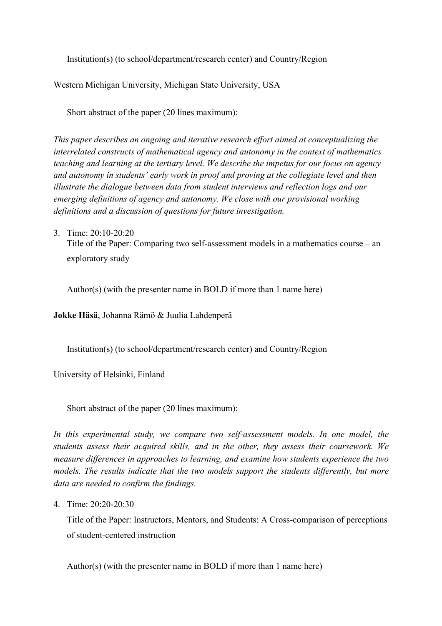Institution(s) (to school/department/research center) and Country/Region

Western Michigan University, Michigan State University, USA

Short abstract of the paper (20 lines maximum):

*This paper describes an ongoing and iterative research effort aimed at conceptualizing the interrelated constructs of mathematical agency and autonomy in the context of mathematics teaching and learning at the tertiary level. We describe the impetus for our focus on agency and autonomy in students' early work in proof and proving at the collegiate level and then illustrate the dialogue between data from student interviews and reflection logs and our emerging definitions of agency and autonomy. We close with our provisional working definitions and a discussion of questions for future investigation.*

3. Time: 20:10-20:20 Title of the Paper: Comparing two self-assessment models in a mathematics course – an exploratory study

Author(s) (with the presenter name in BOLD if more than 1 name here)

**Jokke Häsä**, Johanna Rämö & Juulia Lahdenperä

Institution(s) (to school/department/research center) and Country/Region

University of Helsinki, Finland

Short abstract of the paper (20 lines maximum):

*In this experimental study, we compare two self-assessment models. In one model, the students assess their acquired skills, and in the other, they assess their coursework. We measure differences in approaches to learning, and examine how students experience the two models. The results indicate that the two models support the students differently, but more data are needed to confirm the findings.*

4. Time: 20:20-20:30

Title of the Paper: Instructors, Mentors, and Students: A Cross-comparison of perceptions of student-centered instruction

Author(s) (with the presenter name in BOLD if more than 1 name here)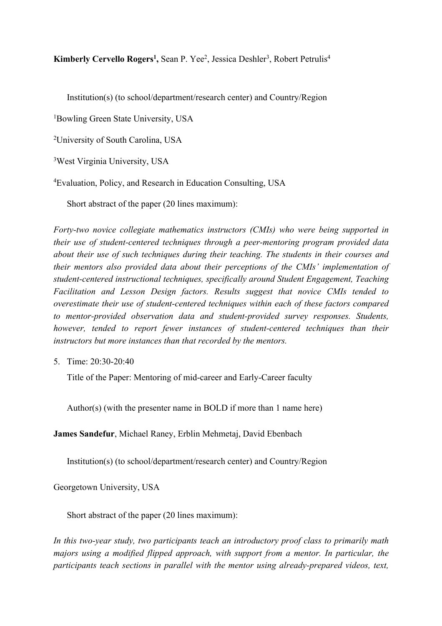Kimberly Cervello Rogers<sup>1</sup>, Sean P. Yee<sup>2</sup>, Jessica Deshler<sup>3</sup>, Robert Petrulis<sup>4</sup>

Institution(s) (to school/department/research center) and Country/Region

1 Bowling Green State University, USA

2 University of South Carolina, USA

3 West Virginia University, USA

4 Evaluation, Policy, and Research in Education Consulting, USA

Short abstract of the paper (20 lines maximum):

*Forty-two novice collegiate mathematics instructors (CMIs) who were being supported in their use of student-centered techniques through a peer-mentoring program provided data about their use of such techniques during their teaching. The students in their courses and their mentors also provided data about their perceptions of the CMIs' implementation of student-centered instructional techniques, specifically around Student Engagement, Teaching Facilitation and Lesson Design factors. Results suggest that novice CMIs tended to overestimate their use of student-centered techniques within each of these factors compared to mentor-provided observation data and student-provided survey responses. Students, however, tended to report fewer instances of student-centered techniques than their instructors but more instances than that recorded by the mentors.*

5. Time: 20:30-20:40

Title of the Paper: Mentoring of mid-career and Early-Career faculty

Author(s) (with the presenter name in BOLD if more than 1 name here)

**James Sandefur**, Michael Raney, Erblin Mehmetaj, David Ebenbach

Institution(s) (to school/department/research center) and Country/Region

Georgetown University, USA

Short abstract of the paper (20 lines maximum):

*In this two-year study, two participants teach an introductory proof class to primarily math majors using a modified flipped approach, with support from a mentor. In particular, the participants teach sections in parallel with the mentor using already-prepared videos, text,*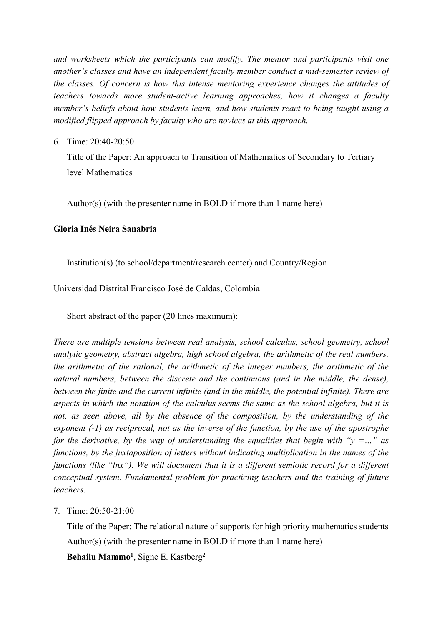*and worksheets which the participants can modify. The mentor and participants visit one another's classes and have an independent faculty member conduct a mid-semester review of the classes. Of concern is how this intense mentoring experience changes the attitudes of teachers towards more student-active learning approaches, how it changes a faculty member's beliefs about how students learn, and how students react to being taught using a modified flipped approach by faculty who are novices at this approach.*

6. Time: 20:40-20:50

Title of the Paper: An approach to Transition of Mathematics of Secondary to Tertiary level Mathematics

Author(s) (with the presenter name in BOLD if more than 1 name here)

## **Gloria Inés Neira Sanabria**

Institution(s) (to school/department/research center) and Country/Region

Universidad Distrital Francisco José de Caldas, Colombia

Short abstract of the paper (20 lines maximum):

*There are multiple tensions between real analysis, school calculus, school geometry, school analytic geometry, abstract algebra, high school algebra, the arithmetic of the real numbers, the arithmetic of the rational, the arithmetic of the integer numbers, the arithmetic of the natural numbers, between the discrete and the continuous (and in the middle, the dense), between the finite and the current infinite (and in the middle, the potential infinite). There are aspects in which the notation of the calculus seems the same as the school algebra, but it is*  not, as seen above, all by the absence of the composition, by the understanding of the *exponent (-1) as reciprocal, not as the inverse of the function, by the use of the apostrophe for the derivative, by the way of understanding the equalities that begin with "y =..." as functions, by the juxtaposition of letters without indicating multiplication in the names of the functions (like "lnx"). We will document that it is a different semiotic record for a different conceptual system. Fundamental problem for practicing teachers and the training of future teachers.*

## 7. Time: 20:50-21:00

Title of the Paper: The relational nature of supports for high priority mathematics students Author(s) (with the presenter name in BOLD if more than 1 name here) **Behailu Mammo1** , Signe E. Kastberg2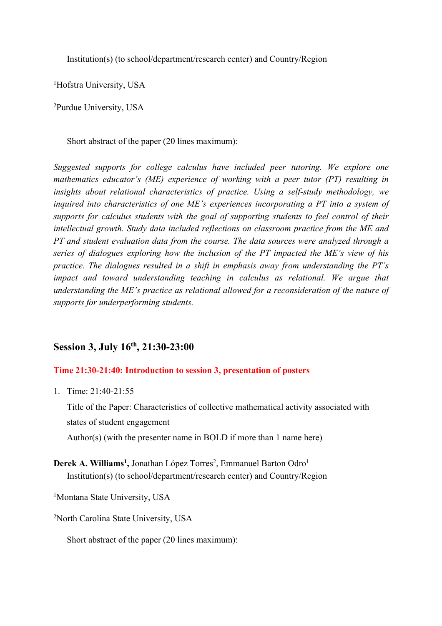Institution(s) (to school/department/research center) and Country/Region

<sup>1</sup>Hofstra University, USA

2 Purdue University, USA

Short abstract of the paper (20 lines maximum):

*Suggested supports for college calculus have included peer tutoring. We explore one mathematics educator's (ME) experience of working with a peer tutor (PT) resulting in insights about relational characteristics of practice. Using a self-study methodology, we inquired into characteristics of one ME's experiences incorporating a PT into a system of supports for calculus students with the goal of supporting students to feel control of their intellectual growth. Study data included reflections on classroom practice from the ME and PT and student evaluation data from the course. The data sources were analyzed through a series of dialogues exploring how the inclusion of the PT impacted the ME's view of his practice. The dialogues resulted in a shift in emphasis away from understanding the PT's impact and toward understanding teaching in calculus as relational. We argue that understanding the ME's practice as relational allowed for a reconsideration of the nature of supports for underperforming students.*

# **Session 3, July 16th, 21:30-23:00**

## **Time 21:30-21:40: Introduction to session 3, presentation of posters**

1. Time: 21:40-21:55

Title of the Paper: Characteristics of collective mathematical activity associated with states of student engagement Author(s) (with the presenter name in BOLD if more than 1 name here)

Derek A. Williams<sup>1</sup>, Jonathan López Torres<sup>2</sup>, Emmanuel Barton Odro<sup>1</sup> Institution(s) (to school/department/research center) and Country/Region

<sup>1</sup>Montana State University, USA

<sup>2</sup>North Carolina State University, USA

Short abstract of the paper (20 lines maximum):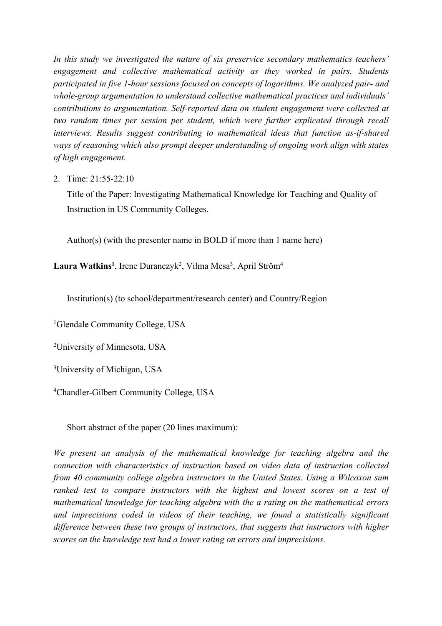*In this study we investigated the nature of six preservice secondary mathematics teachers' engagement and collective mathematical activity as they worked in pairs. Students participated in five 1-hour sessions focused on concepts of logarithms. We analyzed pair- and whole-group argumentation to understand collective mathematical practices and individuals' contributions to argumentation. Self-reported data on student engagement were collected at two random times per session per student, which were further explicated through recall interviews. Results suggest contributing to mathematical ideas that function as-if-shared ways of reasoning which also prompt deeper understanding of ongoing work align with states of high engagement.*

2. Time: 21:55-22:10

Title of the Paper: Investigating Mathematical Knowledge for Teaching and Quality of Instruction in US Community Colleges.

Author(s) (with the presenter name in BOLD if more than 1 name here)

Laura Watkins<sup>1</sup>, Irene Duranczyk<sup>2</sup>, Vilma Mesa<sup>3</sup>, April Ström<sup>4</sup>

Institution(s) (to school/department/research center) and Country/Region

<sup>1</sup>Glendale Community College, USA

2 University of Minnesota, USA

3 University of Michigan, USA

4 Chandler-Gilbert Community College, USA

Short abstract of the paper (20 lines maximum):

*We present an analysis of the mathematical knowledge for teaching algebra and the connection with characteristics of instruction based on video data of instruction collected from 40 community college algebra instructors in the United States. Using a Wilcoxon sum ranked test to compare instructors with the highest and lowest scores on a test of mathematical knowledge for teaching algebra with the a rating on the mathematical errors and imprecisions coded in videos of their teaching, we found a statistically significant difference between these two groups of instructors, that suggests that instructors with higher scores on the knowledge test had a lower rating on errors and imprecisions.*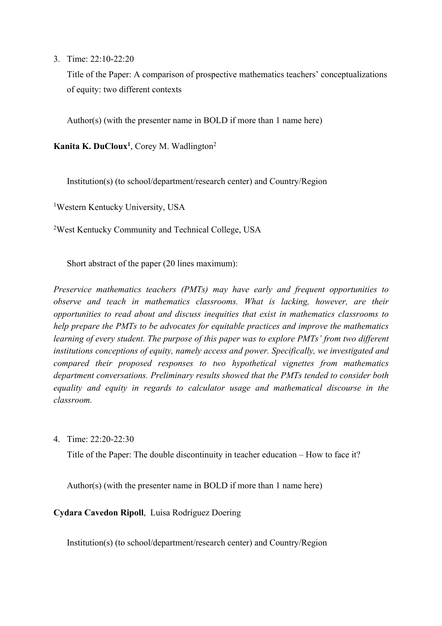3. Time: 22:10-22:20

Title of the Paper: A comparison of prospective mathematics teachers' conceptualizations of equity: two different contexts

Author(s) (with the presenter name in BOLD if more than 1 name here)

**Kanita K. DuCloux1** , Corey M. Wadlington2

Institution(s) (to school/department/research center) and Country/Region

1 Western Kentucky University, USA

2 West Kentucky Community and Technical College, USA

Short abstract of the paper (20 lines maximum):

*Preservice mathematics teachers (PMTs) may have early and frequent opportunities to observe and teach in mathematics classrooms. What is lacking, however, are their opportunities to read about and discuss inequities that exist in mathematics classrooms to help prepare the PMTs to be advocates for equitable practices and improve the mathematics learning of every student. The purpose of this paper was to explore PMTs' from two different institutions conceptions of equity, namely access and power. Specifically, we investigated and compared their proposed responses to two hypothetical vignettes from mathematics department conversations. Preliminary results showed that the PMTs tended to consider both equality and equity in regards to calculator usage and mathematical discourse in the classroom.*

4. Time: 22:20-22:30

Title of the Paper: The double discontinuity in teacher education – How to face it?

Author(s) (with the presenter name in BOLD if more than 1 name here)

**Cydara Cavedon Ripoll**, Luisa Rodríguez Doering

Institution(s) (to school/department/research center) and Country/Region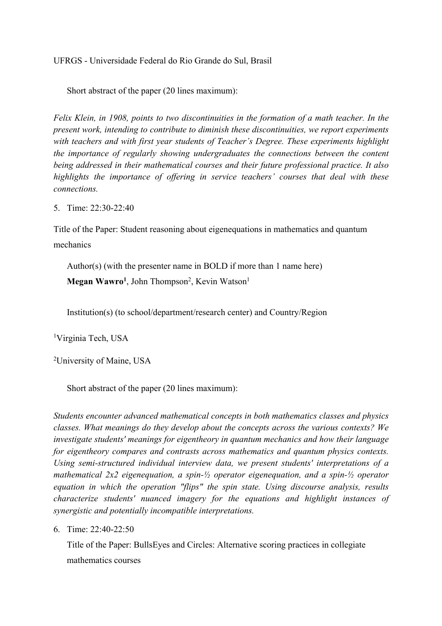UFRGS - Universidade Federal do Rio Grande do Sul, Brasil

Short abstract of the paper (20 lines maximum):

*Felix Klein, in 1908, points to two discontinuities in the formation of a math teacher. In the present work, intending to contribute to diminish these discontinuities, we report experiments with teachers and with first year students of Teacher's Degree. These experiments highlight the importance of regularly showing undergraduates the connections between the content being addressed in their mathematical courses and their future professional practice. It also highlights the importance of offering in service teachers' courses that deal with these connections.*

5. Time: 22:30-22:40

Title of the Paper: Student reasoning about eigenequations in mathematics and quantum mechanics

Author(s) (with the presenter name in BOLD if more than 1 name here) Megan Wawro<sup>1</sup>, John Thompson<sup>2</sup>, Kevin Watson<sup>1</sup>

Institution(s) (to school/department/research center) and Country/Region

1 Virginia Tech, USA

2 University of Maine, USA

Short abstract of the paper (20 lines maximum):

*Students encounter advanced mathematical concepts in both mathematics classes and physics classes. What meanings do they develop about the concepts across the various contexts? We investigate students' meanings for eigentheory in quantum mechanics and how their language for eigentheory compares and contrasts across mathematics and quantum physics contexts. Using semi-structured individual interview data, we present students' interpretations of a mathematical 2x2 eigenequation, a spin-½ operator eigenequation, and a spin-½ operator equation in which the operation "flips" the spin state. Using discourse analysis, results characterize students' nuanced imagery for the equations and highlight instances of synergistic and potentially incompatible interpretations.*

6. Time: 22:40-22:50

Title of the Paper: BullsEyes and Circles: Alternative scoring practices in collegiate mathematics courses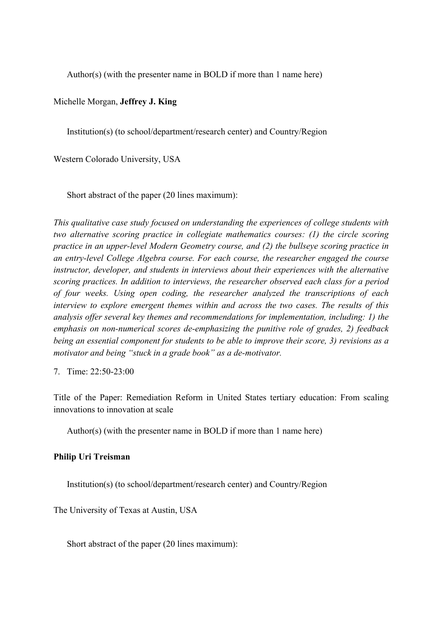Author(s) (with the presenter name in BOLD if more than 1 name here)

#### Michelle Morgan, **Jeffrey J. King**

Institution(s) (to school/department/research center) and Country/Region

Western Colorado University, USA

Short abstract of the paper (20 lines maximum):

*This qualitative case study focused on understanding the experiences of college students with two alternative scoring practice in collegiate mathematics courses: (1) the circle scoring practice in an upper-level Modern Geometry course, and (2) the bullseye scoring practice in an entry-level College Algebra course. For each course, the researcher engaged the course instructor, developer, and students in interviews about their experiences with the alternative scoring practices. In addition to interviews, the researcher observed each class for a period of four weeks. Using open coding, the researcher analyzed the transcriptions of each interview to explore emergent themes within and across the two cases. The results of this analysis offer several key themes and recommendations for implementation, including: 1) the emphasis on non-numerical scores de-emphasizing the punitive role of grades, 2) feedback being an essential component for students to be able to improve their score, 3) revisions as a motivator and being "stuck in a grade book" as a de-motivator.*

7. Time: 22:50-23:00

Title of the Paper: Remediation Reform in United States tertiary education: From scaling innovations to innovation at scale

Author(s) (with the presenter name in BOLD if more than 1 name here)

#### **Philip Uri Treisman**

Institution(s) (to school/department/research center) and Country/Region

The University of Texas at Austin, USA

Short abstract of the paper (20 lines maximum):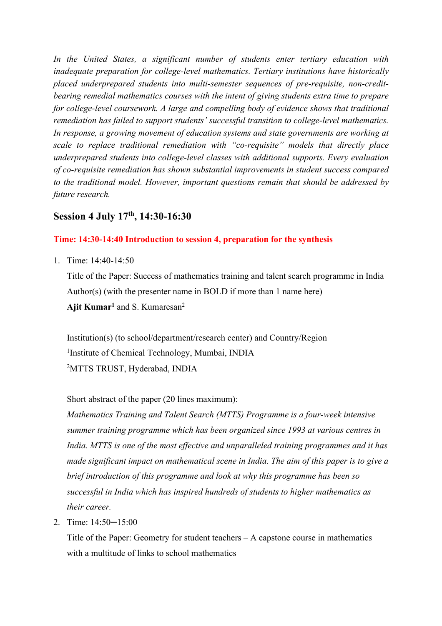*In the United States, a significant number of students enter tertiary education with inadequate preparation for college-level mathematics. Tertiary institutions have historically placed underprepared students into multi-semester sequences of pre-requisite, non-creditbearing remedial mathematics courses with the intent of giving students extra time to prepare for college-level coursework. A large and compelling body of evidence shows that traditional remediation has failed to support students' successful transition to college-level mathematics. In response, a growing movement of education systems and state governments are working at scale to replace traditional remediation with "co-requisite" models that directly place underprepared students into college-level classes with additional supports. Every evaluation of co-requisite remediation has shown substantial improvements in student success compared to the traditional model. However, important questions remain that should be addressed by future research.*

# **Session 4 July 17th, 14:30-16:30**

## **Time: 14:30-14:40 Introduction to session 4, preparation for the synthesis**

1. Time: 14:40-14:50

Title of the Paper: Success of mathematics training and talent search programme in India Author(s) (with the presenter name in BOLD if more than 1 name here) Ajit Kumar<sup>1</sup> and S. Kumaresan<sup>2</sup>

Institution(s) (to school/department/research center) and Country/Region <sup>1</sup>Institute of Chemical Technology, Mumbai, INDIA 2 MTTS TRUST, Hyderabad, INDIA

Short abstract of the paper (20 lines maximum):

*Mathematics Training and Talent Search (MTTS) Programme is a four-week intensive summer training programme which has been organized since 1993 at various centres in India. MTTS is one of the most effective and unparalleled training programmes and it has made significant impact on mathematical scene in India. The aim of this paper is to give a brief introduction of this programme and look at why this programme has been so successful in India which has inspired hundreds of students to higher mathematics as their career.*

2. Time: 14:50─15:00

Title of the Paper: Geometry for student teachers – A capstone course in mathematics with a multitude of links to school mathematics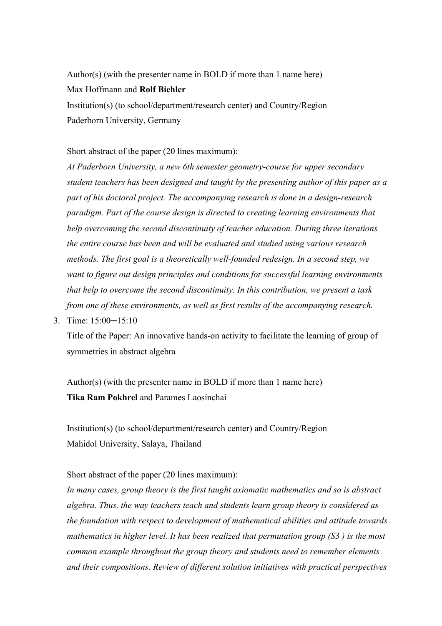Author(s) (with the presenter name in BOLD if more than 1 name here) Max Hoffmann and **Rolf Biehler**

Institution(s) (to school/department/research center) and Country/Region Paderborn University, Germany

Short abstract of the paper (20 lines maximum):

*At Paderborn University, a new 6th semester geometry-course for upper secondary student teachers has been designed and taught by the presenting author of this paper as a part of his doctoral project. The accompanying research is done in a design-research paradigm. Part of the course design is directed to creating learning environments that help overcoming the second discontinuity of teacher education. During three iterations the entire course has been and will be evaluated and studied using various research methods. The first goal is a theoretically well-founded redesign. In a second step, we want to figure out design principles and conditions for successful learning environments that help to overcome the second discontinuity. In this contribution, we present a task from one of these environments, as well as first results of the accompanying research.*

3. Time: 15:00─15:10

Title of the Paper: An innovative hands-on activity to facilitate the learning of group of symmetries in abstract algebra

Author(s) (with the presenter name in BOLD if more than 1 name here) **Tika Ram Pokhrel** and Parames Laosinchai

Institution(s) (to school/department/research center) and Country/Region Mahidol University, Salaya, Thailand

Short abstract of the paper (20 lines maximum):

*In many cases, group theory is the first taught axiomatic mathematics and so is abstract algebra. Thus, the way teachers teach and students learn group theory is considered as the foundation with respect to development of mathematical abilities and attitude towards mathematics in higher level. It has been realized that permutation group (S3 ) is the most common example throughout the group theory and students need to remember elements and their compositions. Review of different solution initiatives with practical perspectives*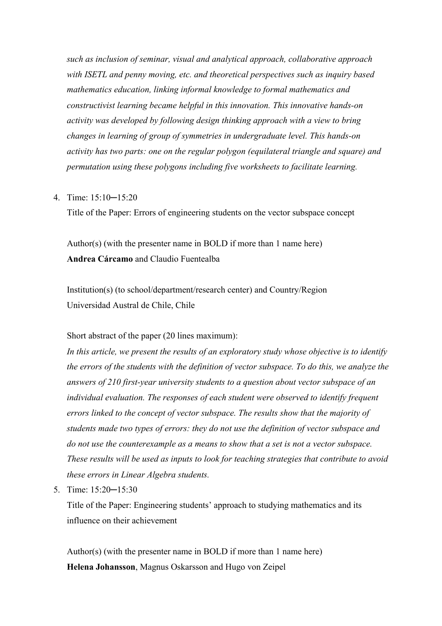*such as inclusion of seminar, visual and analytical approach, collaborative approach with ISETL and penny moving, etc. and theoretical perspectives such as inquiry based mathematics education, linking informal knowledge to formal mathematics and constructivist learning became helpful in this innovation. This innovative hands-on activity was developed by following design thinking approach with a view to bring changes in learning of group of symmetries in undergraduate level. This hands-on activity has two parts: one on the regular polygon (equilateral triangle and square) and permutation using these polygons including five worksheets to facilitate learning.* 

#### 4. Time: 15:10─15:20

Title of the Paper: Errors of engineering students on the vector subspace concept

Author(s) (with the presenter name in BOLD if more than 1 name here) **Andrea Cárcamo** and Claudio Fuentealba

Institution(s) (to school/department/research center) and Country/Region Universidad Austral de Chile, Chile

Short abstract of the paper (20 lines maximum):

*In this article, we present the results of an exploratory study whose objective is to identify the errors of the students with the definition of vector subspace. To do this, we analyze the answers of 210 first-year university students to a question about vector subspace of an individual evaluation. The responses of each student were observed to identify frequent errors linked to the concept of vector subspace. The results show that the majority of students made two types of errors: they do not use the definition of vector subspace and do not use the counterexample as a means to show that a set is not a vector subspace. These results will be used as inputs to look for teaching strategies that contribute to avoid these errors in Linear Algebra students.* 

5. Time: 15:20─15:30

Title of the Paper: Engineering students' approach to studying mathematics and its influence on their achievement

Author(s) (with the presenter name in BOLD if more than 1 name here) **Helena Johansson**, Magnus Oskarsson and Hugo von Zeipel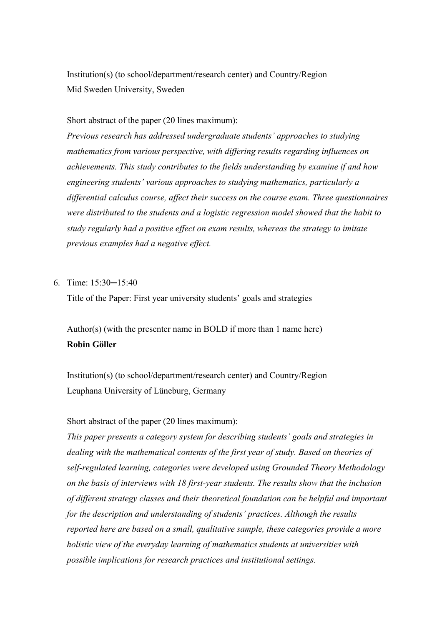Institution(s) (to school/department/research center) and Country/Region Mid Sweden University, Sweden

#### Short abstract of the paper (20 lines maximum):

*Previous research has addressed undergraduate students' approaches to studying mathematics from various perspective, with differing results regarding influences on achievements. This study contributes to the fields understanding by examine if and how engineering students' various approaches to studying mathematics, particularly a differential calculus course, affect their success on the course exam. Three questionnaires were distributed to the students and a logistic regression model showed that the habit to study regularly had a positive effect on exam results, whereas the strategy to imitate previous examples had a negative effect.*

### 6. Time: 15:30─15:40

Title of the Paper: First year university students' goals and strategies

# Author(s) (with the presenter name in BOLD if more than 1 name here) **Robin Göller**

Institution(s) (to school/department/research center) and Country/Region Leuphana University of Lüneburg, Germany

#### Short abstract of the paper (20 lines maximum):

*This paper presents a category system for describing students' goals and strategies in dealing with the mathematical contents of the first year of study. Based on theories of self-regulated learning, categories were developed using Grounded Theory Methodology on the basis of interviews with 18 first-year students. The results show that the inclusion of different strategy classes and their theoretical foundation can be helpful and important for the description and understanding of students' practices. Although the results reported here are based on a small, qualitative sample, these categories provide a more holistic view of the everyday learning of mathematics students at universities with possible implications for research practices and institutional settings.*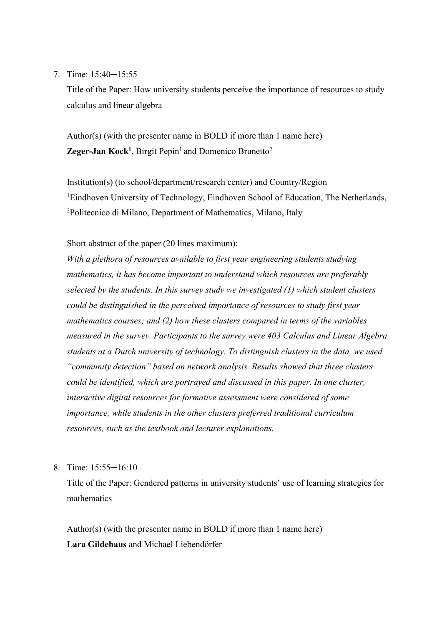#### 7. Time: 15:40─15:55

Title of the Paper: How university students perceive the importance of resources to study calculus and linear algebra

Author(s) (with the presenter name in BOLD if more than 1 name here) **Zeger-Jan Kock<sup>1</sup>**, Birgit Pepin<sup>1</sup> and Domenico Brunetto<sup>2</sup>

Institution(s) (to school/department/research center) and Country/Region <sup>1</sup>Eindhoven University of Technology, Eindhoven School of Education, The Netherlands, 2 Politecnico di Milano, Department of Mathematics, Milano, Italy

Short abstract of the paper (20 lines maximum):

*With a plethora of resources available to first year engineering students studying mathematics, it has become important to understand which resources are preferably selected by the students. In this survey study we investigated (1) which student clusters could be distinguished in the perceived importance of resources to study first year mathematics courses; and (2) how these clusters compared in terms of the variables measured in the survey. Participants to the survey were 403 Calculus and Linear Algebra students at a Dutch university of technology. To distinguish clusters in the data, we used "community detection" based on network analysis. Results showed that three clusters could be identified, which are portrayed and discussed in this paper. In one cluster, interactive digital resources for formative assessment were considered of some importance, while students in the other clusters preferred traditional curriculum resources, such as the textbook and lecturer explanations.*

8. Time: 15:55─16:10

Title of the Paper: Gendered patterns in university students' use of learning strategies for mathematics

Author(s) (with the presenter name in BOLD if more than 1 name here) **Lara Gildehaus** and Michael Liebendörfer